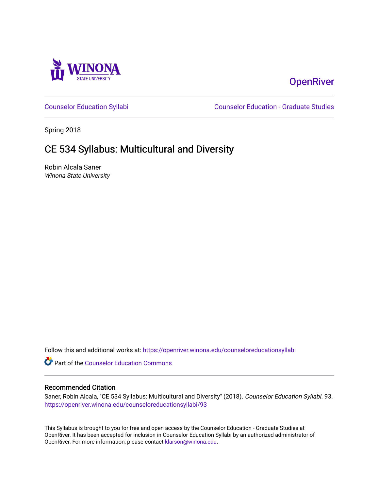

# **OpenRiver**

[Counselor Education Syllabi](https://openriver.winona.edu/counseloreducationsyllabi) [Counselor Education - Graduate Studies](https://openriver.winona.edu/counseloreducation) 

Spring 2018

# CE 534 Syllabus: Multicultural and Diversity

Robin Alcala Saner Winona State University

Follow this and additional works at: [https://openriver.winona.edu/counseloreducationsyllabi](https://openriver.winona.edu/counseloreducationsyllabi?utm_source=openriver.winona.edu%2Fcounseloreducationsyllabi%2F93&utm_medium=PDF&utm_campaign=PDFCoverPages)

Part of the [Counselor Education Commons](http://network.bepress.com/hgg/discipline/1278?utm_source=openriver.winona.edu%2Fcounseloreducationsyllabi%2F93&utm_medium=PDF&utm_campaign=PDFCoverPages) 

#### Recommended Citation

Saner, Robin Alcala, "CE 534 Syllabus: Multicultural and Diversity" (2018). Counselor Education Syllabi. 93. [https://openriver.winona.edu/counseloreducationsyllabi/93](https://openriver.winona.edu/counseloreducationsyllabi/93?utm_source=openriver.winona.edu%2Fcounseloreducationsyllabi%2F93&utm_medium=PDF&utm_campaign=PDFCoverPages) 

This Syllabus is brought to you for free and open access by the Counselor Education - Graduate Studies at OpenRiver. It has been accepted for inclusion in Counselor Education Syllabi by an authorized administrator of OpenRiver. For more information, please contact [klarson@winona.edu](mailto:klarson@winona.edu).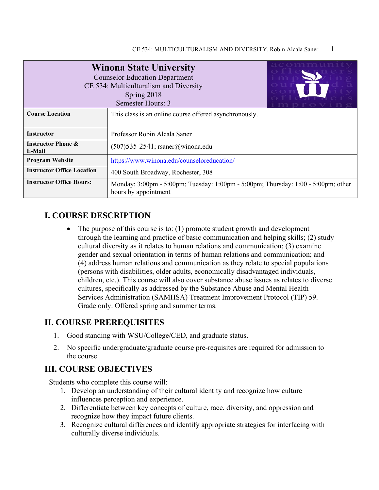|                                                                                                                                              | <b>Winona State University</b><br><b>Counselor Education Department</b><br>CE 534: Multiculturalism and Diversity<br>Spring 2018<br>Semester Hours: 3 |  |  |  |
|----------------------------------------------------------------------------------------------------------------------------------------------|-------------------------------------------------------------------------------------------------------------------------------------------------------|--|--|--|
| <b>Course Location</b>                                                                                                                       | This class is an online course offered asynchronously.                                                                                                |  |  |  |
| <b>Instructor</b>                                                                                                                            | Professor Robin Alcala Saner                                                                                                                          |  |  |  |
| <b>Instructor Phone &amp;</b><br>E-Mail                                                                                                      | $(507)$ 535-2541; rsaner@winona.edu                                                                                                                   |  |  |  |
| <b>Program Website</b>                                                                                                                       | https://www.winona.edu/counseloreducation/                                                                                                            |  |  |  |
| <b>Instructor Office Location</b><br>400 South Broadway, Rochester, 308                                                                      |                                                                                                                                                       |  |  |  |
| <b>Instructor Office Hours:</b><br>Monday: 3:00pm - 5:00pm; Tuesday: 1:00pm - 5:00pm; Thursday: 1:00 - 5:00pm; other<br>hours by appointment |                                                                                                                                                       |  |  |  |

## **I. COURSE DESCRIPTION**

• The purpose of this course is to:  $(1)$  promote student growth and development through the learning and practice of basic communication and helping skills; (2) study cultural diversity as it relates to human relations and communication; (3) examine gender and sexual orientation in terms of human relations and communication; and (4) address human relations and communication as they relate to special populations (persons with disabilities, older adults, economically disadvantaged individuals, children, etc.). This course will also cover substance abuse issues as relates to diverse cultures, specifically as addressed by the Substance Abuse and Mental Health Services Administration (SAMHSA) Treatment Improvement Protocol (TIP) 59. Grade only. Offered spring and summer terms.

### **II. COURSE PREREQUISITES**

- 1. Good standing with WSU/College/CED, and graduate status.
- 2. No specific undergraduate/graduate course pre-requisites are required for admission to the course.

### **III. COURSE OBJECTIVES**

Students who complete this course will:

- 1. Develop an understanding of their cultural identity and recognize how culture influences perception and experience.
- 2. Differentiate between key concepts of culture, race, diversity, and oppression and recognize how they impact future clients.
- 3. Recognize cultural differences and identify appropriate strategies for interfacing with culturally diverse individuals.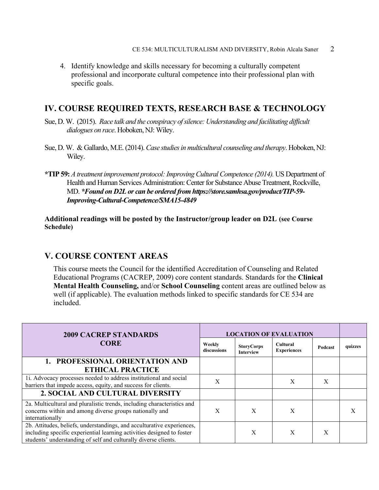4. Identify knowledge and skills necessary for becoming a culturally competent professional and incorporate cultural competence into their professional plan with specific goals.

### **IV. COURSE REQUIRED TEXTS, RESEARCH BASE & TECHNOLOGY**

- Sue, D. W. (2015). *Race talk and the conspiracy of silence: Understanding and facilitating difficult dialogues on race*. Hoboken, NJ: Wiley.
- Sue, D. W. & Gallardo, M.E. (2014). *Case studies in multicultural counseling and therapy*. Hoboken, NJ: Wiley.
- **\*TIP 59:** *A treatment improvement protocol: Improving Cultural Competence (2014).* US Department of Health and Human Services Administration: Center for Substance Abuse Treatment, Rockville, MD. *\*Found on D2L or can be ordered from https://store.samhsa.gov/product/TIP-59- Improving-Cultural-Competence/SMA15-4849*

#### **Additional readings will be posted by the Instructor/group leader on D2L (see Course Schedule)**

### **V. COURSE CONTENT AREAS**

This course meets the Council for the identified Accreditation of Counseling and Related Educational Programs (CACREP, 2009) core content standards. Standards for the **Clinical Mental Health Counseling,** and/or **School Counseling** content areas are outlined below as well (if applicable). The evaluation methods linked to specific standards for CE 534 are included.

| <b>2009 CACREP STANDARDS</b><br><b>CORE</b><br>Weekly<br>discussions                                                                                                                                                |   | <b>LOCATION OF EVALUATION</b>         |                                       |         |         |  |  |
|---------------------------------------------------------------------------------------------------------------------------------------------------------------------------------------------------------------------|---|---------------------------------------|---------------------------------------|---------|---------|--|--|
|                                                                                                                                                                                                                     |   | <b>StoryCorps</b><br><b>Interview</b> | <b>Cultural</b><br><b>Experiences</b> | Podcast | quizzes |  |  |
| 1. PROFESSIONAL ORIENTATION AND                                                                                                                                                                                     |   |                                       |                                       |         |         |  |  |
| <b>ETHICAL PRACTICE</b>                                                                                                                                                                                             |   |                                       |                                       |         |         |  |  |
| 1i. Advocacy processes needed to address institutional and social<br>barriers that impede access, equity, and success for clients.                                                                                  | X |                                       | X                                     | X       |         |  |  |
| 2. SOCIAL AND CULTURAL DIVERSITY                                                                                                                                                                                    |   |                                       |                                       |         |         |  |  |
| 2a. Multicultural and pluralistic trends, including characteristics and<br>concerns within and among diverse groups nationally and<br>internationally                                                               | X | X                                     | X                                     |         |         |  |  |
| 2b. Attitudes, beliefs, understandings, and acculturative experiences,<br>including specific experiential learning activities designed to foster<br>students' understanding of self and culturally diverse clients. |   | X                                     | X                                     | X       |         |  |  |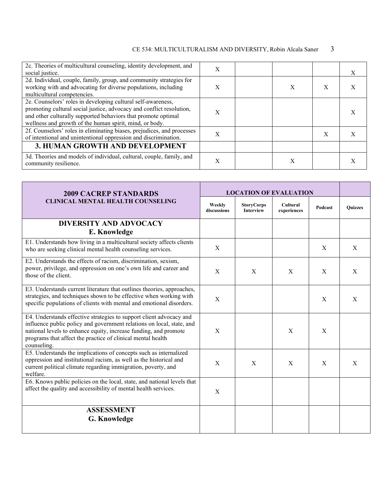### CE 534: MULTICULTURALISM AND DIVERSITY, Robin Alcala Saner 3

| 2c. Theories of multicultural counseling, identity development, and<br>social justice.                                                                                                                                                                           | X |   |   |  |
|------------------------------------------------------------------------------------------------------------------------------------------------------------------------------------------------------------------------------------------------------------------|---|---|---|--|
| 2d. Individual, couple, family, group, and community strategies for<br>working with and advocating for diverse populations, including<br>multicultural competencies.                                                                                             | X | Х |   |  |
| 2e. Counselors' roles in developing cultural self-awareness,<br>promoting cultural social justice, advocacy and conflict resolution,<br>and other culturally supported behaviors that promote optimal<br>wellness and growth of the human spirit, mind, or body. | X |   |   |  |
| 2f. Counselors' roles in eliminating biases, prejudices, and processes<br>of intentional and unintentional oppression and discrimination.                                                                                                                        | X |   | X |  |
| 3. HUMAN GROWTH AND DEVELOPMENT                                                                                                                                                                                                                                  |   |   |   |  |
| 3d. Theories and models of individual, cultural, couple, family, and<br>community resilience.                                                                                                                                                                    | Х | Χ |   |  |

| <b>2009 CACREP STANDARDS</b>                                                                                                                                                                                                                                                                   | <b>LOCATION OF EVALUATION</b> |                                       |                                |         |                |
|------------------------------------------------------------------------------------------------------------------------------------------------------------------------------------------------------------------------------------------------------------------------------------------------|-------------------------------|---------------------------------------|--------------------------------|---------|----------------|
| <b>CLINICAL MENTAL HEALTH COUNSELING</b>                                                                                                                                                                                                                                                       | Weekly<br>discussions         | <b>StoryCorps</b><br><b>Interview</b> | <b>Cultural</b><br>experiences | Podcast | <b>Quizzes</b> |
| <b>DIVERSITY AND ADVOCACY</b><br>E. Knowledge                                                                                                                                                                                                                                                  |                               |                                       |                                |         |                |
| E1. Understands how living in a multicultural society affects clients<br>who are seeking clinical mental health counseling services.                                                                                                                                                           | X                             |                                       |                                | X       | X              |
| E2. Understands the effects of racism, discrimination, sexism,<br>power, privilege, and oppression on one's own life and career and<br>those of the client.                                                                                                                                    | X                             | X                                     | X                              | X       | X              |
| E3. Understands current literature that outlines theories, approaches,<br>strategies, and techniques shown to be effective when working with<br>specific populations of clients with mental and emotional disorders.                                                                           | X                             |                                       |                                | X       | X              |
| E4. Understands effective strategies to support client advocacy and<br>influence public policy and government relations on local, state, and<br>national levels to enhance equity, increase funding, and promote<br>programs that affect the practice of clinical mental health<br>counseling. | X                             |                                       | X                              | X       |                |
| E5. Understands the implications of concepts such as internalized<br>oppression and institutional racism, as well as the historical and<br>current political climate regarding immigration, poverty, and<br>welfare.                                                                           | X                             | X                                     | $\mathbf{X}$                   | X       | X              |
| E6. Knows public policies on the local, state, and national levels that<br>affect the quality and accessibility of mental health services.                                                                                                                                                     | X                             |                                       |                                |         |                |
| <b>ASSESSMENT</b><br><b>G. Knowledge</b>                                                                                                                                                                                                                                                       |                               |                                       |                                |         |                |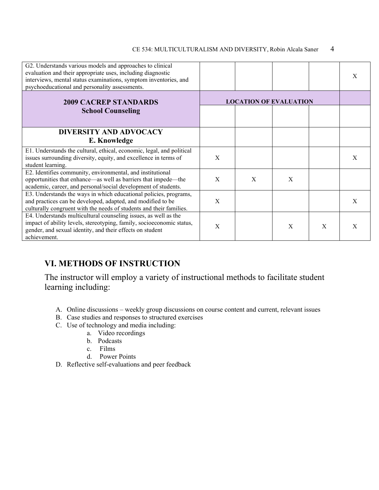#### CE 534: MULTICULTURALISM AND DIVERSITY, Robin Alcala Saner 4

| G2. Understands various models and approaches to clinical<br>evaluation and their appropriate uses, including diagnostic<br>interviews, mental status examinations, symptom inventories, and<br>psychoeducational and personality assessments. |              |                               |   |              | X |
|------------------------------------------------------------------------------------------------------------------------------------------------------------------------------------------------------------------------------------------------|--------------|-------------------------------|---|--------------|---|
| <b>2009 CACREP STANDARDS</b>                                                                                                                                                                                                                   |              | <b>LOCATION OF EVALUATION</b> |   |              |   |
| <b>School Counseling</b>                                                                                                                                                                                                                       |              |                               |   |              |   |
| <b>DIVERSITY AND ADVOCACY</b><br>E. Knowledge                                                                                                                                                                                                  |              |                               |   |              |   |
| E1. Understands the cultural, ethical, economic, legal, and political<br>issues surrounding diversity, equity, and excellence in terms of<br>student learning.                                                                                 | X            |                               |   |              | X |
| E2. Identifies community, environmental, and institutional<br>opportunities that enhance—as well as barriers that impede—the<br>academic, career, and personal/social development of students.                                                 | X            | X                             | X |              |   |
| E3. Understands the ways in which educational policies, programs,<br>and practices can be developed, adapted, and modified to be<br>culturally congruent with the needs of students and their families.                                        | X            |                               |   |              | X |
| E4. Understands multicultural counseling issues, as well as the<br>impact of ability levels, stereotyping, family, socioeconomic status,<br>gender, and sexual identity, and their effects on student<br>achievement.                          | $\mathbf{X}$ |                               | X | $\mathbf{x}$ | X |

# **VI. METHODS OF INSTRUCTION**

The instructor will employ a variety of instructional methods to facilitate student learning including:

- A. Online discussions weekly group discussions on course content and current, relevant issues
- B. Case studies and responses to structured exercises
- C. Use of technology and media including:
	- a. Video recordings
	- b. Podcasts
	- c. Films
	- d. Power Points
- D. Reflective self-evaluations and peer feedback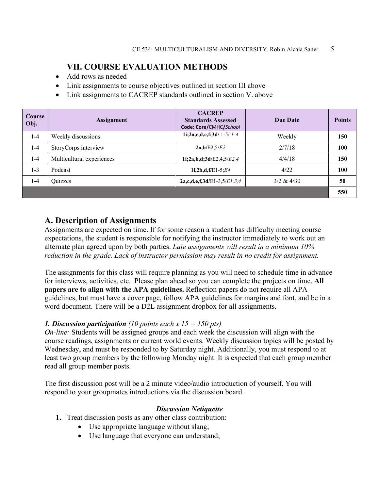### **VII. COURSE EVALUATION METHODS**

- Add rows as needed
- Link assignments to course objectives outlined in section III above
- Link assignments to CACREP standards outlined in section V. above

| Course<br>Obj. | <b>Assignment</b>         | <b>CACREP</b><br><b>Standards Assessed</b><br>Code: Core/CMHC/School | Due Date   | <b>Points</b> |
|----------------|---------------------------|----------------------------------------------------------------------|------------|---------------|
| $1 - 4$        | Weekly discussions        | 1i;2a,c,d,e,f;3d/ 1-5/ $1-4$                                         | Weekly     | 150           |
| $1 - 4$        | StoryCorps interview      | 2a,b/E2,5/E2                                                         | 2/7/18     | 100           |
| $1 - 4$        | Multicultural experiences | 1i;2a,b,d;3d/E2,4,5/E2,4                                             | 4/4/18     | 150           |
| $1 - 3$        | Podcast                   | 1i,2b,d,f/E1-5; $E4$                                                 | 4/22       | 100           |
| $1 - 4$        | Quizzes                   | $2a,c,d,e,f,3d/E1-3,5/E1,3,4$                                        | 3/2 & 4/30 | 50            |
|                |                           |                                                                      |            | 550           |

### **A. Description of Assignments**

Assignments are expected on time. If for some reason a student has difficulty meeting course expectations, the student is responsible for notifying the instructor immediately to work out an alternate plan agreed upon by both parties. *Late assignments will result in a minimum 10% reduction in the grade. Lack of instructor permission may result in no credit for assignment.*

The assignments for this class will require planning as you will need to schedule time in advance for interviews, activities, etc. Please plan ahead so you can complete the projects on time. **All papers are to align with the APA guidelines.** Reflection papers do not require all APA guidelines, but must have a cover page, follow APA guidelines for margins and font, and be in a word document. There will be a D2L assignment dropbox for all assignments.

#### *1. Discussion participation (10 points each x 15 = 150 pts)*

*On-line:* Students will be assigned groups and each week the discussion will align with the course readings, assignments or current world events. Weekly discussion topics will be posted by Wednesday, and must be responded to by Saturday night. Additionally, you must respond to at least two group members by the following Monday night. It is expected that each group member read all group member posts.

The first discussion post will be a 2 minute video/audio introduction of yourself. You will respond to your groupmates introductions via the discussion board.

#### *Discussion Netiquette*

- **1.** Treat discussion posts as any other class contribution:
	- Use appropriate language without slang;
	- Use language that everyone can understand;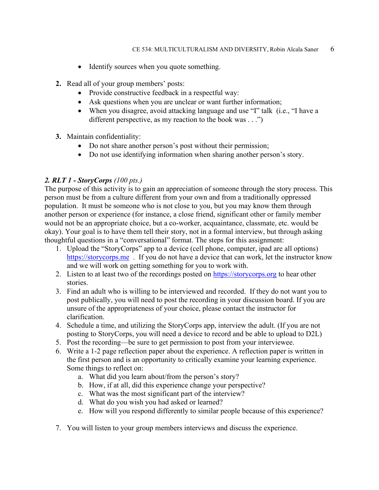- Identify sources when you quote something.
- **2.** Read all of your group members' posts:
	- Provide constructive feedback in a respectful way:
	- Ask questions when you are unclear or want further information;
	- When you disagree, avoid attacking language and use "I" talk (i.e., "I have a different perspective, as my reaction to the book was . . .")
- **3.** Maintain confidentiality:
	- Do not share another person's post without their permission;
	- Do not use identifying information when sharing another person's story.

#### *2. RLT 1 - StoryCorps (100 pts.)*

The purpose of this activity is to gain an appreciation of someone through the story process. This person must be from a culture different from your own and from a traditionally oppressed population. It must be someone who is not close to you, but you may know them through another person or experience (for instance, a close friend, significant other or family member would not be an appropriate choice, but a co-worker, acquaintance, classmate, etc. would be okay). Your goal is to have them tell their story, not in a formal interview, but through asking thoughtful questions in a "conversational" format. The steps for this assignment:

- 1. Upload the "StoryCorps" app to a device (cell phone, computer, ipad are all options) [https://storycorps.me](https://storycorps.me/) . If you do not have a device that can work, let the instructor know and we will work on getting something for you to work with.
- 2. Listen to at least two of the recordings posted on [https://storycorps.org](https://storycorps.org/) to hear other stories.
- 3. Find an adult who is willing to be interviewed and recorded. If they do not want you to post publically, you will need to post the recording in your discussion board. If you are unsure of the appropriateness of your choice, please contact the instructor for clarification.
- 4. Schedule a time, and utilizing the StoryCorps app, interview the adult. (If you are not posting to StoryCorps, you will need a device to record and be able to upload to D2L)
- 5. Post the recording—be sure to get permission to post from your interviewee.
- 6. Write a 1-2 page reflection paper about the experience. A reflection paper is written in the first person and is an opportunity to critically examine your learning experience. Some things to reflect on:
	- a. What did you learn about/from the person's story?
	- b. How, if at all, did this experience change your perspective?
	- c. What was the most significant part of the interview?
	- d. What do you wish you had asked or learned?
	- e. How will you respond differently to similar people because of this experience?
- 7. You will listen to your group members interviews and discuss the experience.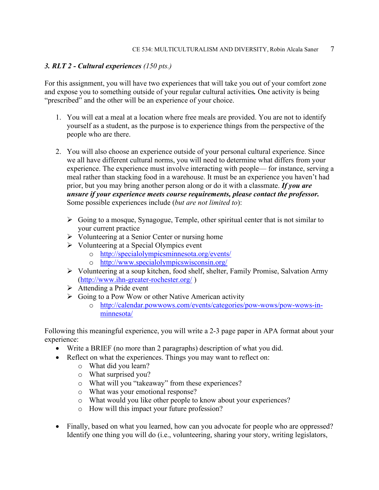#### *3. RLT 2 - Cultural experiences (150 pts.)*

For this assignment, you will have two experiences that will take you out of your comfort zone and expose you to something outside of your regular cultural activities*.* One activity is being "prescribed" and the other will be an experience of your choice.

- 1. You will eat a meal at a location where free meals are provided. You are not to identify yourself as a student, as the purpose is to experience things from the perspective of the people who are there.
- 2. You will also choose an experience outside of your personal cultural experience. Since we all have different cultural norms, you will need to determine what differs from your experience. The experience must involve interacting with people— for instance, serving a meal rather than stacking food in a warehouse. It must be an experience you haven't had prior, but you may bring another person along or do it with a classmate. *If you are unsure if your experience meets course requirements, please contact the professor.*  Some possible experiences include (*but are not limited to*):
	- $\triangleright$  Going to a mosque, Synagogue, Temple, other spiritual center that is not similar to your current practice
	- $\triangleright$  Volunteering at a Senior Center or nursing home
	- $\triangleright$  Volunteering at a Special Olympics event
		- o <http://specialolympicsminnesota.org/events/>
		- o <http://www.specialolympicswisconsin.org/>
	- Volunteering at a soup kitchen, food shelf, shelter, Family Promise, Salvation Army [\(http://www.ihn-greater-rochester.org/](http://www.ihn-greater-rochester.org/) )
	- $\triangleright$  Attending a Pride event
	- $\triangleright$  Going to a Pow Wow or other Native American activity
		- o [http://calendar.powwows.com/events/categories/pow-wows/pow-wows-in](http://calendar.powwows.com/events/categories/pow-wows/pow-wows-in-minnesota/)[minnesota/](http://calendar.powwows.com/events/categories/pow-wows/pow-wows-in-minnesota/)

Following this meaningful experience, you will write a 2-3 page paper in APA format about your experience:

- Write a BRIEF (no more than 2 paragraphs) description of what you did.
- Reflect on what the experiences. Things you may want to reflect on:
	- o What did you learn?
	- o What surprised you?
	- o What will you "takeaway" from these experiences?
	- o What was your emotional response?
	- o What would you like other people to know about your experiences?
	- o How will this impact your future profession?
- Finally, based on what you learned, how can you advocate for people who are oppressed? Identify one thing you will do (i.e., volunteering, sharing your story, writing legislators,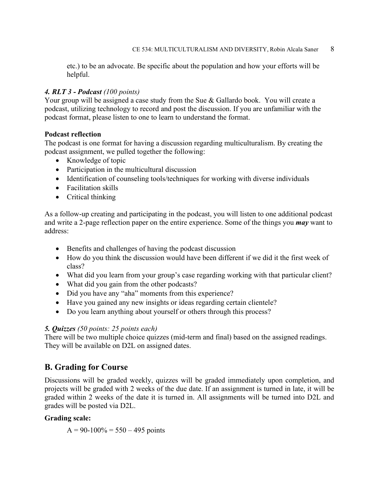etc.) to be an advocate. Be specific about the population and how your efforts will be helpful.

#### *4. RLT 3 - Podcast (100 points)*

Your group will be assigned a case study from the Sue & Gallardo book. You will create a podcast, utilizing technology to record and post the discussion. If you are unfamiliar with the podcast format, please listen to one to learn to understand the format.

#### **Podcast reflection**

The podcast is one format for having a discussion regarding multiculturalism. By creating the podcast assignment, we pulled together the following:

- Knowledge of topic
- Participation in the multicultural discussion
- Identification of counseling tools/techniques for working with diverse individuals
- Facilitation skills
- Critical thinking

As a follow-up creating and participating in the podcast, you will listen to one additional podcast and write a 2-page reflection paper on the entire experience. Some of the things you *may* want to address:

- Benefits and challenges of having the podcast discussion
- How do you think the discussion would have been different if we did it the first week of class?
- What did you learn from your group's case regarding working with that particular client?
- What did you gain from the other podcasts?
- Did you have any "aha" moments from this experience?
- Have you gained any new insights or ideas regarding certain clientele?
- Do you learn anything about yourself or others through this process?

#### *5. Quizzes (50 points: 25 points each)*

There will be two multiple choice quizzes (mid-term and final) based on the assigned readings. They will be available on D2L on assigned dates.

### **B. Grading for Course**

Discussions will be graded weekly, quizzes will be graded immediately upon completion, and projects will be graded with 2 weeks of the due date. If an assignment is turned in late, it will be graded within 2 weeks of the date it is turned in. All assignments will be turned into D2L and grades will be posted via D2L.

#### **Grading scale:**

 $A = 90-100\% = 550 - 495$  points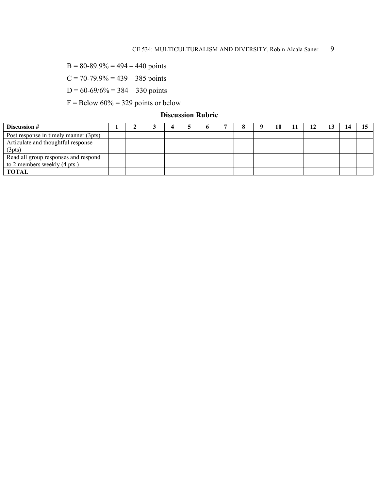$B = 80-89.9% = 494 - 440$  points

 $C = 70-79.9% = 439 - 385$  points

 $D = 60-69/6% = 384 - 330$  points

 $F =$  Below 60% = 329 points or below

### **Discussion Rubric**

| Discussion #                          |  |  |  |  | 10 |  |  |  |
|---------------------------------------|--|--|--|--|----|--|--|--|
| Post response in timely manner (3pts) |  |  |  |  |    |  |  |  |
| Articulate and thoughtful response    |  |  |  |  |    |  |  |  |
| (3pts)                                |  |  |  |  |    |  |  |  |
| Read all group responses and respond  |  |  |  |  |    |  |  |  |
| to 2 members weekly (4 pts.)          |  |  |  |  |    |  |  |  |
| <b>TOTAL</b>                          |  |  |  |  |    |  |  |  |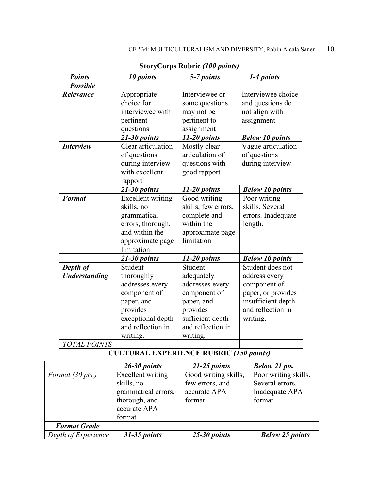| <b>Points</b>                    | 10 points                                                                                                                                | 5-7 points                                                                                                                              | 1-4 points                                                                                                                     |
|----------------------------------|------------------------------------------------------------------------------------------------------------------------------------------|-----------------------------------------------------------------------------------------------------------------------------------------|--------------------------------------------------------------------------------------------------------------------------------|
| <b>Possible</b>                  |                                                                                                                                          |                                                                                                                                         |                                                                                                                                |
| Relevance                        | Appropriate<br>choice for<br>interviewee with<br>pertinent<br>questions                                                                  | Interviewee or<br>some questions<br>may not be<br>pertinent to<br>assignment                                                            | Interviewee choice<br>and questions do<br>not align with<br>assignment                                                         |
|                                  | 21-30 points                                                                                                                             | $11-20$ points                                                                                                                          | <b>Below 10 points</b>                                                                                                         |
| <b>Interview</b>                 | Clear articulation<br>of questions<br>during interview<br>with excellent<br>rapport                                                      | Mostly clear<br>articulation of<br>questions with<br>good rapport                                                                       | Vague articulation<br>of questions<br>during interview                                                                         |
|                                  | 21-30 points                                                                                                                             | $11-20$ points                                                                                                                          | <b>Below 10 points</b>                                                                                                         |
| <b>Format</b>                    | <b>Excellent</b> writing<br>skills, no<br>grammatical<br>errors, thorough,<br>and within the<br>approximate page<br>limitation           | Good writing<br>skills, few errors,<br>complete and<br>within the<br>approximate page<br>limitation                                     | Poor writing<br>skills. Several<br>errors. Inadequate<br>length.                                                               |
|                                  | $21 - 30$ points                                                                                                                         | $11-20$ points                                                                                                                          | <b>Below 10 points</b>                                                                                                         |
| Depth of<br><b>Understanding</b> | Student<br>thoroughly<br>addresses every<br>component of<br>paper, and<br>provides<br>exceptional depth<br>and reflection in<br>writing. | Student<br>adequately<br>addresses every<br>component of<br>paper, and<br>provides<br>sufficient depth<br>and reflection in<br>writing. | Student does not<br>address every<br>component of<br>paper, or provides<br>insufficient depth<br>and reflection in<br>writing. |
| <b>TOTAL POINTS</b>              |                                                                                                                                          |                                                                                                                                         |                                                                                                                                |

**StoryCorps Rubric** *(100 points)*

# **CULTURAL EXPERIENCE RUBRIC** *(150 points)*

|                            | $26-30$ points      | $21-25$ points       | <b>Below 21 pts.</b>   |
|----------------------------|---------------------|----------------------|------------------------|
| Format $(30 \text{ pts.})$ | Excellent writing   | Good writing skills, | Poor writing skills.   |
|                            | skills, no          | few errors, and      | Several errors.        |
|                            | grammatical errors, | accurate APA         | Inadequate APA         |
|                            | thorough, and       | format               | format                 |
|                            | accurate APA        |                      |                        |
|                            | format              |                      |                        |
| <b>Format Grade</b>        |                     |                      |                        |
| Depth of Experience        | $31-35$ points      | $25-30$ points       | <b>Below 25 points</b> |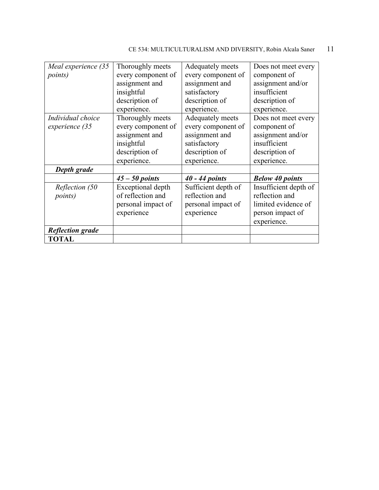| CE 534: MULTICULTURALISM AND DIVERSITY, Robin Alcala Saner | $\overline{11}$ |  |
|------------------------------------------------------------|-----------------|--|
|------------------------------------------------------------|-----------------|--|

| Meal experience (35<br><i>points</i> ) | Thoroughly meets<br>every component of<br>assignment and                                                | Adequately meets<br>every component of<br>assignment and                                                  | Does not meet every<br>component of<br>assignment and/or                                                  |
|----------------------------------------|---------------------------------------------------------------------------------------------------------|-----------------------------------------------------------------------------------------------------------|-----------------------------------------------------------------------------------------------------------|
|                                        | insightful                                                                                              | satisfactory                                                                                              | insufficient                                                                                              |
|                                        | description of<br>experience.                                                                           | description of<br>experience.                                                                             | description of<br>experience.                                                                             |
| Individual choice<br>experience (35    | Thoroughly meets<br>every component of<br>assignment and<br>insightful<br>description of<br>experience. | Adequately meets<br>every component of<br>assignment and<br>satisfactory<br>description of<br>experience. | Does not meet every<br>component of<br>assignment and/or<br>insufficient<br>description of<br>experience. |
| Depth grade                            |                                                                                                         |                                                                                                           |                                                                                                           |
|                                        | $45 - 50$ points                                                                                        | $40 - 44$ points                                                                                          | <b>Below 40 points</b>                                                                                    |
| Reflection (50<br><i>points</i> )      | Exceptional depth<br>of reflection and<br>personal impact of<br>experience                              | Sufficient depth of<br>reflection and<br>personal impact of<br>experience                                 | Insufficient depth of<br>reflection and<br>limited evidence of<br>person impact of<br>experience.         |
| <b>Reflection grade</b>                |                                                                                                         |                                                                                                           |                                                                                                           |
| <b>TOTAL</b>                           |                                                                                                         |                                                                                                           |                                                                                                           |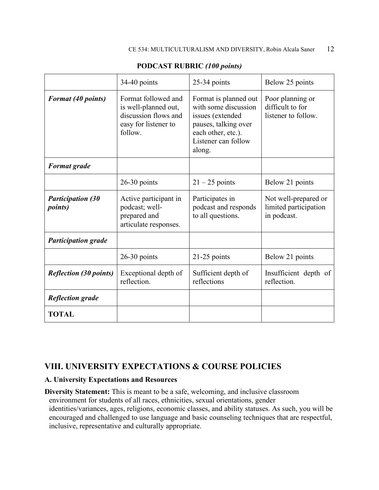|                                             | 34-40 points                                                                                           | 25-34 points                                                                                                                                     | Below 25 points                                              |
|---------------------------------------------|--------------------------------------------------------------------------------------------------------|--------------------------------------------------------------------------------------------------------------------------------------------------|--------------------------------------------------------------|
| <b>Format</b> (40 points)                   | Format followed and<br>is well-planned out,<br>discussion flows and<br>easy for listener to<br>follow. | Format is planned out<br>with some discussion<br>issues (extended<br>pauses, talking over<br>each other, etc.).<br>Listener can follow<br>along. | Poor planning or<br>difficult to for<br>listener to follow.  |
| <b>Format grade</b>                         |                                                                                                        |                                                                                                                                                  |                                                              |
|                                             | $26-30$ points                                                                                         | $21 - 25$ points                                                                                                                                 | Below 21 points                                              |
| <b>Participation (30</b><br><i>points</i> ) | Active participant in<br>podcast; well-<br>prepared and<br>articulate responses.                       | Participates in<br>podcast and responds<br>to all questions.                                                                                     | Not well-prepared or<br>limited participation<br>in podcast. |
| <b>Participation grade</b>                  |                                                                                                        |                                                                                                                                                  |                                                              |
|                                             | $26-30$ points                                                                                         | 21-25 points                                                                                                                                     | Below 21 points                                              |
| <b>Reflection (30 points)</b>               | Exceptional depth of<br>reflection.                                                                    | Sufficient depth of<br>reflections                                                                                                               | Insufficient depth of<br>reflection.                         |
| <b>Reflection grade</b>                     |                                                                                                        |                                                                                                                                                  |                                                              |
| <b>TOTAL</b>                                |                                                                                                        |                                                                                                                                                  |                                                              |

#### **PODCAST RUBRIC** *(100 points)*

## **VIII. UNIVERSITY EXPECTATIONS & COURSE POLICIES**

#### **A. University Expectations and Resources**

**Diversity Statement:** This is meant to be a safe, welcoming, and inclusive classroom environment for students of all races, ethnicities, sexual orientations, gender identities/variances, ages, religions, economic classes, and ability statuses. As such, you will be encouraged and challenged to use language and basic counseling techniques that are respectful, inclusive, representative and culturally appropriate.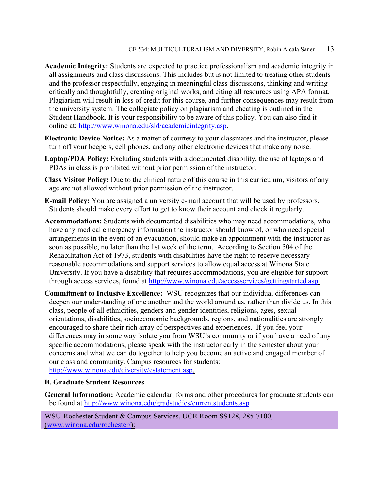- **Academic Integrity:** Students are expected to practice professionalism and academic integrity in all assignments and class discussions. This includes but is not limited to treating other students and the professor respectfully, engaging in meaningful class discussions, thinking and writing critically and thoughtfully, creating original works, and citing all resources using APA format. Plagiarism will result in loss of credit for this course, and further consequences may result from the university system. The collegiate policy on plagiarism and cheating is outlined in the Student Handbook. It is your responsibility to be aware of this policy. You can also find it online at: [http://www.winona.edu/sld/academicintegrity.asp.](http://www.winona.edu/sld/academicintegrity.asp)
- **Electronic Device Notice:** As a matter of courtesy to your classmates and the instructor, please turn off your beepers, cell phones, and any other electronic devices that make any noise.
- **Laptop/PDA Policy:** Excluding students with a documented disability, the use of laptops and PDAs in class is prohibited without prior permission of the instructor.
- **Class Visitor Policy:** Due to the clinical nature of this course in this curriculum, visitors of any age are not allowed without prior permission of the instructor.
- **E-mail Policy:** You are assigned a university e-mail account that will be used by professors. Students should make every effort to get to know their account and check it regularly.
- **Accommodations:** Students with documented disabilities who may need accommodations, who have any medical emergency information the instructor should know of, or who need special arrangements in the event of an evacuation, should make an appointment with the instructor as soon as possible, no later than the 1st week of the term. According to Section 504 of the Rehabilitation Act of 1973, students with disabilities have the right to receive necessary reasonable accommodations and support services to allow equal access at Winona State University. If you have a disability that requires accommodations, you are eligible for support through access services, found at [http://www.winona.edu/accessservices/gettingstarted.asp.](http://www.winona.edu/accessservices/gettingstarted.asp)
- **Commitment to Inclusive Excellence:** WSU recognizes that our individual differences can deepen our understanding of one another and the world around us, rather than divide us. In this class, people of all ethnicities, genders and gender identities, religions, ages, sexual orientations, disabilities, socioeconomic backgrounds, regions, and nationalities are strongly encouraged to share their rich array of perspectives and experiences. If you feel your differences may in some way isolate you from WSU's community or if you have a need of any specific accommodations, please speak with the instructor early in the semester about your concerns and what we can do together to help you become an active and engaged member of our class and community. Campus resources for students:

[http://www.winona.edu/diversity/estatement.asp.](http://www.winona.edu/diversity/estatement.asp)

#### **B. Graduate Student Resources**

**General Information:** Academic calendar, forms and other procedures for graduate students can be found at<http://www.winona.edu/gradstudies/currentstudents.asp>

WSU-Rochester Student & Campus Services, UCR Room SS128, 285-7100, [\(www.winona.edu/rochester/\)](http://www.winona.edu/rochester/):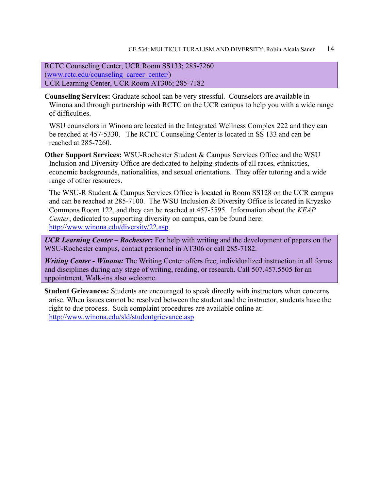RCTC Counseling Center, UCR Room SS133; 285-7260 [\(www.rctc.edu/counseling\\_career\\_center/\)](http://www.rctc.edu/counseling_career_center/) UCR Learning Center, UCR Room AT306; 285-7182

**Counseling Services:** Graduate school can be very stressful. Counselors are available in Winona and through partnership with RCTC on the UCR campus to help you with a wide range of difficulties.

WSU counselors in Winona are located in the Integrated Wellness Complex 222 and they can be reached at 457-5330. The RCTC Counseling Center is located in SS 133 and can be reached at 285-7260.

**Other Support Services:** WSU-Rochester Student & Campus Services Office and the WSU Inclusion and Diversity Office are dedicated to helping students of all races, ethnicities, economic backgrounds, nationalities, and sexual orientations. They offer tutoring and a wide range of other resources.

The WSU-R Student & Campus Services Office is located in Room SS128 on the UCR campus and can be reached at 285-7100. The WSU Inclusion & Diversity Office is located in Kryzsko Commons Room 122, and they can be reached at 457-5595. Information about the *KEAP Center*, dedicated to supporting diversity on campus, can be found here: [http://www.winona.edu/diversity/22.asp.](http://www.winona.edu/diversity/22.asp)

*UCR Learning Center – Rochester***:** For help with writing and the development of papers on the WSU-Rochester campus, contact personnel in AT306 or call 285-7182.

*Writing Center - Winona:* The Writing Center offers free, individualized instruction in all forms and disciplines during any stage of writing, reading, or research. Call 507.457.5505 for an appointment. Walk-ins also welcome.

**Student Grievances:** Students are encouraged to speak directly with instructors when concerns arise. When issues cannot be resolved between the student and the instructor, students have the right to due process. Such complaint procedures are available online at: <http://www.winona.edu/sld/studentgrievance.asp>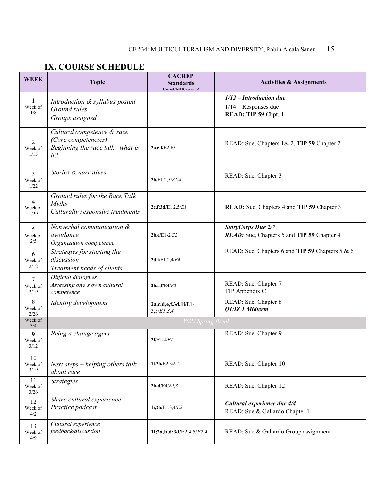# **IX. COURSE SCHEDULE**

| <b>WEEK</b>           | <b>Topic</b>                                                                                 | <b>CACREP</b><br><b>Standards</b><br>Core/CMHC/School | <b>Activities &amp; Assignments</b>                                         |  |  |
|-----------------------|----------------------------------------------------------------------------------------------|-------------------------------------------------------|-----------------------------------------------------------------------------|--|--|
| 1<br>Week of<br>1/8   | Introduction & syllabus posted<br>Ground rules<br>Groups assigned                            |                                                       | $1/12$ - Introduction due<br>$1/14$ – Responses due<br>READ: TIP 59 Chpt. 1 |  |  |
| 2<br>Week of<br>1/15  | Cultural competence & race<br>(Core competencies)<br>Beginning the race talk -what is<br>it? | 2a,c,f/E2,E5                                          | READ: Sue, Chapters 1& 2, TIP 59 Chapter 2                                  |  |  |
| 3<br>Week of<br>1/22  | Stories & narratives                                                                         | $2b/E1, 2, 5/E1-4$                                    | READ: Sue, Chapter 3                                                        |  |  |
| 4<br>Week of<br>1/29  | Ground rules for the Race Talk<br><b>Myths</b><br>Culturally responsive treatments           | 2c,f;3d/E1,2,5/E1                                     | READ: Sue, Chapters 4 and TIP 59 Chapter 3                                  |  |  |
| 5<br>Week of<br>2/5   | Nonverbal communication &<br>avoidance<br>Organization competence                            | $2b,e/E1-2/E2$                                        | <b>StoryCorps Due 2/7</b><br>READ: Sue, Chapters 5 and TIP 59 Chapter 4     |  |  |
| 6<br>Week of<br>2/12  | Strategies for starting the<br>discussion<br>Treatment needs of clients                      | 2d, f/E1, 2, 4/E4                                     | READ: Sue, Chapters 6 and TIP 59 Chapters 5 & 6                             |  |  |
| 7<br>Week of<br>2/19  | Difficult dialogues<br>Assessing one's own cultural<br>competence                            | 2b,e,f/E4/E2                                          | READ: Sue, Chapter 7<br>TIP Appendix C                                      |  |  |
| 8<br>Week of<br>2/26  | Identity development                                                                         | 2a,c,d,e,f,3d,1i/E1-<br>3,5/E1,3,4                    | READ: Sue, Chapter 8<br><b>QUIZ 1 Midterm</b>                               |  |  |
| Week of<br>3/4        | <b>WSU Spring Break</b>                                                                      |                                                       |                                                                             |  |  |
| 9<br>Week of<br>3/12  | Being a change agent                                                                         | $2f/E2-4/E1$                                          | READ: Sue, Chapter 9                                                        |  |  |
| 10<br>Week of<br>3/19 | Next steps – helping others talk<br>about race                                               | 1i,2b/E2,3/E2                                         | READ: Sue, Chapter 10                                                       |  |  |
| 11<br>Week of<br>3/26 | <b>Strategies</b>                                                                            | $2b-d/E4/E2,3$                                        | READ: Sue, Chapter 12                                                       |  |  |
| 12<br>Week of<br>4/2  | Share cultural experience<br>Practice podcast                                                | 1i,2b/E1,3,4/E2                                       | Cultural experience due 4/4<br>READ: Sue & Gallardo Chapter 1               |  |  |
| 13<br>Week of<br>4/9  | Cultural experience<br>feedback/discussion                                                   | 1i;2a,b,d;3d/E2,4,5/E2,4                              | READ: Sue & Gallardo Group assignment                                       |  |  |